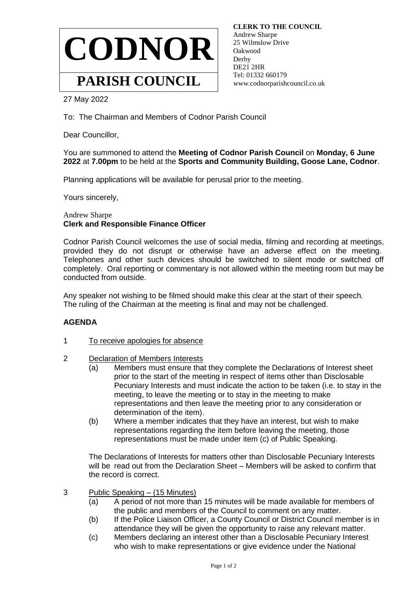

 **CLERK TO THE COUNCIL** Andrew Sharpe 25 Wilmslow Drive Oakwood Derby DE21 2HR Tel: 01332 660179 www.codnorparishcouncil.co.uk

27 May 2022

To: The Chairman and Members of Codnor Parish Council

Dear Councillor,

## You are summoned to attend the **Meeting of Codnor Parish Council** on **Monday, 6 June 2022** at **7.00pm** to be held at the **Sports and Community Building, Goose Lane, Codnor**.

Planning applications will be available for perusal prior to the meeting.

Yours sincerely,

## Andrew Sharpe **Clerk and Responsible Finance Officer**

Codnor Parish Council welcomes the use of social media, filming and recording at meetings, provided they do not disrupt or otherwise have an adverse effect on the meeting. Telephones and other such devices should be switched to silent mode or switched off completely. Oral reporting or commentary is not allowed within the meeting room but may be conducted from outside.

Any speaker not wishing to be filmed should make this clear at the start of their speech. The ruling of the Chairman at the meeting is final and may not be challenged.

## **AGENDA**

- 1 To receive apologies for absence
- 2 Declaration of Members Interests
	- (a) Members must ensure that they complete the Declarations of Interest sheet prior to the start of the meeting in respect of items other than Disclosable Pecuniary Interests and must indicate the action to be taken (i.e. to stay in the meeting, to leave the meeting or to stay in the meeting to make representations and then leave the meeting prior to any consideration or determination of the item).
	- (b) Where a member indicates that they have an interest, but wish to make representations regarding the item before leaving the meeting, those representations must be made under item (c) of Public Speaking.

The Declarations of Interests for matters other than Disclosable Pecuniary Interests will be read out from the Declaration Sheet – Members will be asked to confirm that the record is correct.

- 3 Public Speaking (15 Minutes)
	- (a) A period of not more than 15 minutes will be made available for members of the public and members of the Council to comment on any matter.
	- (b) If the Police Liaison Officer, a County Council or District Council member is in attendance they will be given the opportunity to raise any relevant matter.
	- (c) Members declaring an interest other than a Disclosable Pecuniary Interest who wish to make representations or give evidence under the National